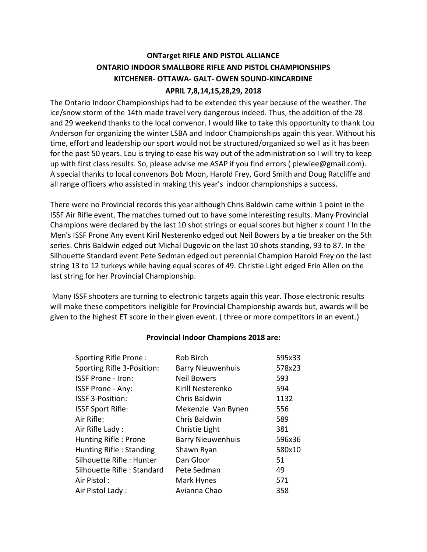# **ONTarget RIFLE AND PISTOL ALLIANCE ONTARIO INDOOR SMALLBORE RIFLE AND PISTOL CHAMPIONSHIPS KITCHENER- OTTAWA- GALT- OWEN SOUND-KINCARDINE**

# **APRIL 7,8,14,15,28,29, 2018**

The Ontario Indoor Championships had to be extended this year because of the weather. The ice/snow storm of the 14th made travel very dangerous indeed. Thus, the addition of the 28 and 29 weekend thanks to the local convenor. I would like to take this opportunity to thank Lou Anderson for organizing the winter LSBA and Indoor Championships again this year. Without his time, effort and leadership our sport would not be structured/organized so well as it has been for the past 50 years. Lou is trying to ease his way out of the administration so I will try to keep up with first class results. So, please advise me ASAP if you find errors ( plewiee@gmail.com). A special thanks to local convenors Bob Moon, Harold Frey, Gord Smith and Doug Ratcliffe and all range officers who assisted in making this year's indoor championships a success.

There were no Provincial records this year although Chris Baldwin came within 1 point in the ISSF Air Rifle event. The matches turned out to have some interesting results. Many Provincial Champions were declared by the last 10 shot strings or equal scores but higher x count ! In the Men's ISSF Prone Any event Kiril Nesterenko edged out Neil Bowers by a tie breaker on the 5th series. Chris Baldwin edged out Michal Dugovic on the last 10 shots standing, 93 to 87. In the Silhouette Standard event Pete Sedman edged out perennial Champion Harold Frey on the last string 13 to 12 turkeys while having equal scores of 49. Christie Light edged Erin Allen on the last string for her Provincial Championship.

Many ISSF shooters are turning to electronic targets again this year. Those electronic results will make these competitors ineligible for Provincial Championship awards but, awards will be given to the highest ET score in their given event. ( three or more competitors in an event.)

### **Provincial Indoor Champions 2018 are:**

| Sporting Rifle Prone:      | Rob Birch                | 595x33 |
|----------------------------|--------------------------|--------|
| Sporting Rifle 3-Position: | <b>Barry Nieuwenhuis</b> | 578x23 |
| <b>ISSF Prone - Iron:</b>  | <b>Neil Bowers</b>       | 593    |
| ISSF Prone - Any:          | Kirill Nesterenko        | 594    |
| ISSF 3-Position:           | Chris Baldwin            | 1132   |
| <b>ISSF Sport Rifle:</b>   | Mekenzie Van Bynen       | 556    |
| Air Rifle:                 | Chris Baldwin            | 589    |
| Air Rifle Lady:            | Christie Light           | 381    |
| Hunting Rifle: Prone       | <b>Barry Nieuwenhuis</b> | 596x36 |
| Hunting Rifle: Standing    | Shawn Ryan               | 580x10 |
| Silhouette Rifle: Hunter   | Dan Gloor                | 51     |
| Silhouette Rifle: Standard | Pete Sedman              | 49     |
| Air Pistol:                | Mark Hynes               | 571    |
| Air Pistol Lady:           | Avianna Chao             | 358    |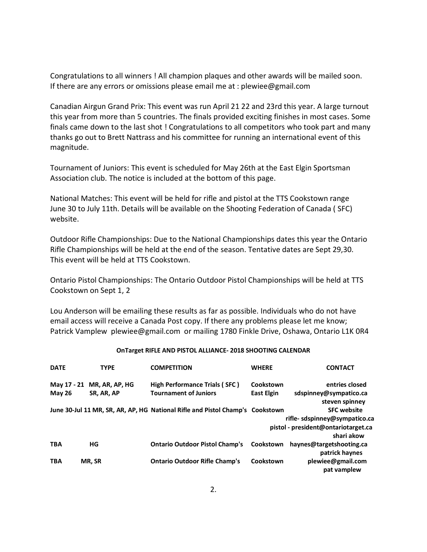Congratulations to all winners ! All champion plaques and other awards will be mailed soon. If there are any errors or omissions please email me at : plewiee@gmail.com

Canadian Airgun Grand Prix: This event was run April 21 22 and 23rd this year. A large turnout this year from more than 5 countries. The finals provided exciting finishes in most cases. Some finals came down to the last shot ! Congratulations to all competitors who took part and many thanks go out to Brett Nattrass and his committee for running an international event of this magnitude.

Tournament of Juniors: This event is scheduled for May 26th at the East Elgin Sportsman Association club. The notice is included at the bottom of this page.

National Matches: This event will be held for rifle and pistol at the TTS Cookstown range June 30 to July 11th. Details will be available on the Shooting Federation of Canada ( SFC) website.

Outdoor Rifle Championships: Due to the National Championships dates this year the Ontario Rifle Championships will be held at the end of the season. Tentative dates are Sept 29,30. This event will be held at TTS Cookstown.

Ontario Pistol Championships: The Ontario Outdoor Pistol Championships will be held at TTS Cookstown on Sept 1, 2

Lou Anderson will be emailing these results as far as possible. Individuals who do not have email access will receive a Canada Post copy. If there any problems please let me know; Patrick Vamplew plewiee@gmail.com or mailing 1780 Finkle Drive, Oshawa, Ontario L1K 0R4

#### **OnTarget RIFLE AND PISTOL ALLIANCE- 2018 SHOOTING CALENDAR**

| <b>DATE</b>   | <b>TYPE</b>    | <b>COMPETITION</b>                                                            | <b>WHERE</b>      | <b>CONTACT</b>                                    |
|---------------|----------------|-------------------------------------------------------------------------------|-------------------|---------------------------------------------------|
| May 17 - 21   | MR, AR, AP, HG | High Performance Trials (SFC)                                                 | Cookstown         | entries closed                                    |
| <b>May 26</b> | SR, AR, AP     | <b>Tournament of Juniors</b>                                                  | <b>East Elgin</b> | sdspinney@sympatico.ca<br>steven spinney          |
|               |                | June 30-Jul 11 MR, SR, AR, AP, HG National Rifle and Pistol Champ's Cookstown |                   | <b>SFC website</b>                                |
|               |                |                                                                               |                   | rifle-sdspinney@sympatico.ca                      |
|               |                |                                                                               |                   | pistol - president@ontariotarget.ca<br>shari akow |
| <b>TBA</b>    | HG             | <b>Ontario Outdoor Pistol Champ's</b>                                         | Cookstown         | haynes@targetshooting.ca<br>patrick haynes        |
| <b>TBA</b>    | MR, SR         | <b>Ontario Outdoor Rifle Champ's</b>                                          | Cookstown         | plewiee@gmail.com<br>pat vamplew                  |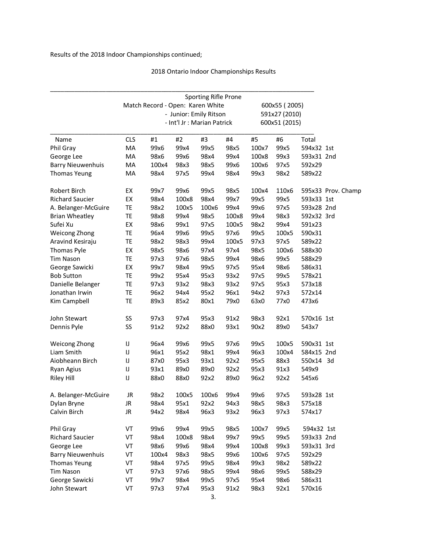## 2018 Ontario Indoor Championships Results

|                          | Sporting Rifle Prone |                                  |       |                             |       |       |               |            |                    |  |  |
|--------------------------|----------------------|----------------------------------|-------|-----------------------------|-------|-------|---------------|------------|--------------------|--|--|
|                          |                      | Match Record - Open: Karen White |       |                             |       |       | 600x55 (2005) |            |                    |  |  |
|                          |                      | 591x27 (2010)                    |       |                             |       |       |               |            |                    |  |  |
|                          |                      |                                  |       | - Int'l Jr : Marian Patrick |       |       | 600x51 (2015) |            |                    |  |  |
| Name                     | <b>CLS</b>           | #1                               | #2    | #3                          | #4    | #5    | #6            | Total      |                    |  |  |
| Phil Gray                | MA                   | 99x6                             | 99x4  | 99x5                        | 98x5  | 100x7 | 99x5          | 594x32 1st |                    |  |  |
| George Lee               | MA                   | 98x6                             | 99x6  | 98x4                        | 99x4  | 100x8 | 99x3          | 593x31 2nd |                    |  |  |
| <b>Barry Nieuwenhuis</b> | MA                   | 100x4                            | 98x3  | 98x5                        | 99x6  | 100x6 | 97x5          | 592x29     |                    |  |  |
| <b>Thomas Yeung</b>      | MA                   | 98x4                             | 97x5  | 99x4                        | 98x4  | 99x3  | 98x2          | 589x22     |                    |  |  |
| Robert Birch             | EX                   | 99x7                             | 99x6  | 99x5                        | 98x5  | 100x4 | 110x6         |            | 595x33 Prov. Champ |  |  |
| <b>Richard Saucier</b>   | EX                   | 98x4                             | 100x8 | 98x4                        | 99x7  | 99x5  | 99x5          | 593x33 1st |                    |  |  |
| A. Belanger-McGuire      | TE                   | 98x2                             | 100x5 | 100x6                       | 99x4  | 99x6  | 97x5          | 593x28 2nd |                    |  |  |
| <b>Brian Wheatley</b>    | TE                   | 98x8                             | 99x4  | 98x5                        | 100x8 | 99x4  | 98x3          | 592x32 3rd |                    |  |  |
| Sufei Xu                 | EX                   | 98x6                             | 99x1  | 97x5                        | 100x5 | 98x2  | 99x4          | 591x23     |                    |  |  |
| Weicong Zhong            | TE                   | 96x4                             | 99x6  | 99x5                        | 97x6  | 99x5  | 100x5         | 590x31     |                    |  |  |
| Aravind Kesiraju         | TE                   | 98x2                             | 98x3  | 99x4                        | 100x5 | 97x3  | 97x5          | 589x22     |                    |  |  |
| Thomas Pyle              | EX                   | 98x5                             | 98x6  | 97x4                        | 97x4  | 98x5  | 100x6         | 588x30     |                    |  |  |
| <b>Tim Nason</b>         | TE                   | 97x3                             | 97x6  | 98x5                        | 99x4  | 98x6  | 99x5          | 588x29     |                    |  |  |
| George Sawicki           | EX                   | 99x7                             | 98x4  | 99x5                        | 97x5  | 95x4  | 98x6          | 586x31     |                    |  |  |
| <b>Bob Sutton</b>        | TE                   | 99x2                             | 95x4  | 95x3                        | 93x2  | 97x5  | 99x5          | 578x21     |                    |  |  |
| Danielle Belanger        | TE                   | 97x3                             | 93x2  | 98x3                        | 93x2  | 97x5  | 95x3          | 573x18     |                    |  |  |
| Jonathan Irwin           | TE                   | 96x2                             | 94x4  | 95x2                        | 96x1  | 94x2  | 97x3          | 572x14     |                    |  |  |
| Kim Campbell             | TE                   | 89x3                             | 85x2  | 80x1                        | 79x0  | 63x0  | 77x0          | 473x6      |                    |  |  |
| John Stewart             | SS                   | 97x3                             | 97x4  | 95x3                        | 91x2  | 98x3  | 92x1          | 570x16 1st |                    |  |  |
| Dennis Pyle              | SS                   | 91x2                             | 92x2  | 88x0                        | 93x1  | 90x2  | 89x0          | 543x7      |                    |  |  |
| <b>Weicong Zhong</b>     | IJ                   | 96x4                             | 99x6  | 99x5                        | 97x6  | 99x5  | 100x5         | 590x31 1st |                    |  |  |
| Liam Smith               | IJ                   | 96x1                             | 95x2  | 98x1                        | 99x4  | 96x3  | 100x4         | 584x15 2nd |                    |  |  |
| Aiobheann Birch          | IJ                   | 87x0                             | 95x3  | 93x1                        | 92x2  | 95x5  | 88x3          | 550x14 3d  |                    |  |  |
| Ryan Agius               | IJ                   | 93x1                             | 89x0  | 89x0                        | 92x2  | 95x3  | 91x3          | 549x9      |                    |  |  |
| <b>Riley Hill</b>        | IJ                   | 88x0                             | 88x0  | 92x2                        | 89x0  | 96x2  | 92x2          | 545x6      |                    |  |  |
| A. Belanger-McGuire      | JR                   | 98x2                             | 100x5 | 100x6                       | 99x4  | 99x6  | 97x5          | 593x28 1st |                    |  |  |
| Dylan Bryne              | JR                   | 98x4                             | 95x1  | 92x2                        | 94x3  | 98x5  | 98x3          | 575x18     |                    |  |  |
| Calvin Birch             | JR                   | 94x2                             | 98x4  | 96x3                        | 93x2  | 96x3  | 97x3          | 574x17     |                    |  |  |
| Phil Gray                | VT                   | 99x6                             | 99x4  | 99x5                        | 98x5  | 100x7 | 99x5          | 594x32 1st |                    |  |  |
| <b>Richard Saucier</b>   | VT                   | 98x4                             | 100x8 | 98x4                        | 99x7  | 99x5  | 99x5          | 593x33 2nd |                    |  |  |
| George Lee               | VT                   | 98x6                             | 99x6  | 98x4                        | 99x4  | 100x8 | 99x3          | 593x31 3rd |                    |  |  |
| <b>Barry Nieuwenhuis</b> | VT                   | 100x4                            | 98x3  | 98x5                        | 99x6  | 100x6 | 97x5          | 592x29     |                    |  |  |
| Thomas Yeung             | VT                   | 98x4                             | 97x5  | 99x5                        | 98x4  | 99x3  | 98x2          | 589x22     |                    |  |  |
| <b>Tim Nason</b>         | VT                   | 97x3                             | 97x6  | 98x5                        | 99x4  | 98x6  | 99x5          | 588x29     |                    |  |  |
| George Sawicki           | VT                   | 99x7                             | 98x4  | 99x5                        | 97x5  | 95x4  | 98x6          | 586x31     |                    |  |  |
| John Stewart             | VT                   | 97x3                             | 97x4  | 95x3                        | 91x2  | 98x3  | 92x1          | 570x16     |                    |  |  |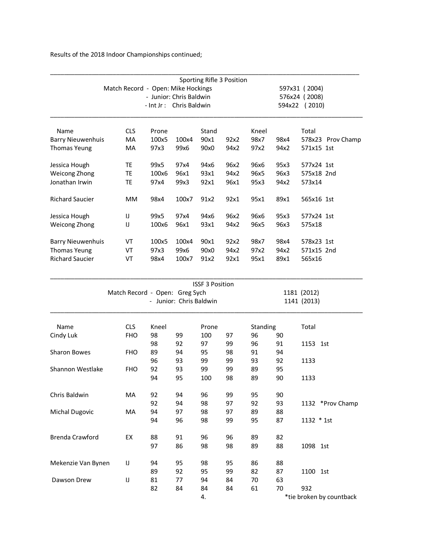|            |                                               |       |       |                                                                                          | 597x31 (2004) |                           |        |                                                                                                                                     |
|------------|-----------------------------------------------|-------|-------|------------------------------------------------------------------------------------------|---------------|---------------------------|--------|-------------------------------------------------------------------------------------------------------------------------------------|
|            |                                               |       |       |                                                                                          |               |                           |        |                                                                                                                                     |
|            |                                               |       |       |                                                                                          |               |                           |        |                                                                                                                                     |
| <b>CLS</b> | Prone                                         |       | Stand |                                                                                          | Kneel         |                           | Total  |                                                                                                                                     |
| MA         | 100x5                                         | 100x4 | 90x1  | 92x2                                                                                     | 98x7          | 98x4                      |        | 578x23 Prov Champ                                                                                                                   |
| МA         | 97x3                                          | 99x6  | 90x0  | 94x2                                                                                     | 97x2          | 94x2                      |        |                                                                                                                                     |
| TE         | 99x5                                          | 97x4  | 94x6  | 96x2                                                                                     | 96x6          | 95x3                      |        |                                                                                                                                     |
| TE         | 100x6                                         | 96x1  | 93x1  | 94x2                                                                                     | 96x5          | 96x3                      |        |                                                                                                                                     |
| ТE         | 97x4                                          | 99x3  | 92x1  | 96x1                                                                                     | 95x3          | 94x2                      | 573x14 |                                                                                                                                     |
| MM         | 98x4                                          | 100x7 | 91x2  | 92x1                                                                                     | 95x1          | 89x1                      |        |                                                                                                                                     |
| IJ         | 99x5                                          | 97x4  | 94x6  | 96x2                                                                                     | 96x6          | 95x3                      |        |                                                                                                                                     |
| IJ         | 100x6                                         | 96x1  | 93x1  | 94x2                                                                                     | 96x5          | 96x3                      | 575x18 |                                                                                                                                     |
| VT         | 100x5                                         | 100x4 | 90x1  | 92x2                                                                                     | 98x7          | 98x4                      |        |                                                                                                                                     |
| VT         | 97x3                                          | 99x6  | 90x0  | 94x2                                                                                     | 97x2          | 94x2                      |        |                                                                                                                                     |
| VT         | 98x4                                          | 100x7 | 91x2  | 92x1                                                                                     | 95x1          | 89x1                      | 565x16 |                                                                                                                                     |
|            | <b>Barry Nieuwenhuis</b><br>Barry Nieuwenhuis |       |       | Match Record - Open: Mike Hockings<br>- Junior: Chris Baldwin<br>- Int Jr: Chris Baldwin |               | Sporting Rifle 3 Position |        | 576x24 (2008)<br>594x22<br>(2010)<br>571x15 1st<br>577x24 1st<br>575x18 2nd<br>565x16 1st<br>577x24 1st<br>578x23 1st<br>571x15 2nd |

|                       |                                |       |    | <b>ISSF 3 Position</b>  |                            |    |          |          |                          |
|-----------------------|--------------------------------|-------|----|-------------------------|----------------------------|----|----------|----------|--------------------------|
|                       | Match Record - Open: Greg Sych |       |    | - Junior: Chris Baldwin | 1181 (2012)<br>1141 (2013) |    |          |          |                          |
| Name                  | <b>CLS</b>                     | Kneel |    | Prone                   |                            |    | Standing |          |                          |
| Cindy Luk             | <b>FHO</b>                     | 98    | 99 | 100                     | 97                         | 96 | 90       |          |                          |
|                       |                                | 98    | 92 | 97                      | 99                         | 96 | 91       | 1153 1st |                          |
| <b>Sharon Bowes</b>   | <b>FHO</b>                     | 89    | 94 | 95                      | 98                         | 91 | 94       |          |                          |
|                       |                                | 96    | 93 | 99                      | 99                         | 93 | 92       | 1133     |                          |
| Shannon Westlake      | <b>FHO</b>                     | 92    | 93 | 99                      | 99                         | 89 | 95       |          |                          |
|                       |                                | 94    | 95 | 100                     | 98                         | 89 | 90       | 1133     |                          |
| Chris Baldwin         | <b>MA</b>                      | 92    | 94 | 96                      | 99                         | 95 | 90       |          |                          |
|                       |                                | 92    | 94 | 98                      | 97                         | 92 | 93       |          | 1132 *Prov Champ         |
| <b>Michal Dugovic</b> | MA                             | 94    | 97 | 98                      | 97                         | 89 | 88       |          |                          |
|                       |                                | 94    | 96 | 98                      | 99                         | 95 | 87       |          | 1132 * 1st               |
| Brenda Crawford       | EX                             | 88    | 91 | 96                      | 96                         | 89 | 82       |          |                          |
|                       |                                | 97    | 86 | 98                      | 98                         | 89 | 88       | 1098 1st |                          |
| Mekenzie Van Bynen    | IJ                             | 94    | 95 | 98                      | 95                         | 86 | 88       |          |                          |
|                       |                                | 89    | 92 | 95                      | 99                         | 82 | 87       | 1100 1st |                          |
| Dawson Drew           | IJ                             | 81    | 77 | 94                      | 84                         | 70 | 63       |          |                          |
|                       |                                | 82    | 84 | 84                      | 84                         | 61 | 70       | 932      |                          |
|                       |                                |       |    | 4.                      |                            |    |          |          | *tie broken by countback |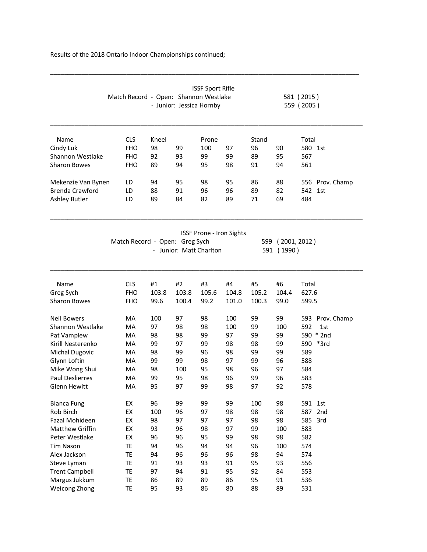|                        | Match Record - Open: Shannon Westlake |       | - Junior: Jessica Hornby | <b>ISSF Sport Rifle</b>         |       |       |                            | 581 (2015)<br>559 (2005) |
|------------------------|---------------------------------------|-------|--------------------------|---------------------------------|-------|-------|----------------------------|--------------------------|
| Name                   | <b>CLS</b>                            | Kneel |                          | Prone                           |       | Stand |                            | Total                    |
| Cindy Luk              | <b>FHO</b>                            | 98    | 99                       | 100                             | 97    | 96    | 90                         | 580 1st                  |
| Shannon Westlake       | <b>FHO</b>                            | 92    | 93                       | 99                              | 99    | 89    | 95                         | 567                      |
| <b>Sharon Bowes</b>    | <b>FHO</b>                            | 89    | 94                       | 95                              | 98    | 91    | 94                         | 561                      |
| Mekenzie Van Bynen     | LD                                    | 94    | 95                       | 98                              | 95    | 86    | 88                         | 556 Prov. Champ          |
| Brenda Crawford        | LD                                    | 88    | 91                       | 96                              | 96    | 89    | 82                         | 542<br>1st               |
| <b>Ashley Butler</b>   | LD                                    | 89    | 84                       | 82                              | 89    | 71    | 69                         | 484                      |
|                        | Match Record - Open: Greg Sych        |       | - Junior: Matt Charlton  | <b>ISSF Prone - Iron Sights</b> |       | 599   | (2001, 2012)<br>591 (1990) |                          |
|                        |                                       |       |                          |                                 |       |       |                            |                          |
| Name                   | <b>CLS</b>                            | #1    | #2                       | #3                              | #4    | #5    | #6                         | Total                    |
| Greg Sych              | <b>FHO</b>                            | 103.8 | 103.8                    | 105.6                           | 104.8 | 105.2 | 104.4                      | 627.6                    |
| <b>Sharon Bowes</b>    | <b>FHO</b>                            | 99.6  | 100.4                    | 99.2                            | 101.0 | 100.3 | 99.0                       | 599.5                    |
| <b>Neil Bowers</b>     | MA                                    | 100   | 97                       | 98                              | 100   | 99    | 99                         | 593 Prov. Champ          |
| Shannon Westlake       | MA                                    | 97    | 98                       | 98                              | 100   | 99    | 100                        | 592<br>1st               |
| Pat Vamplew            | MA                                    | 98    | 98                       | 99                              | 97    | 99    | 99                         | 590 * 2nd                |
| Kirill Nesterenko      | MA                                    | 99    | 97                       | 99                              | 98    | 98    | 99                         | 590 *3rd                 |
| <b>Michal Dugovic</b>  | MA                                    | 98    | 99                       | 96                              | 98    | 99    | 99                         | 589                      |
| Glynn Loftin           | MA                                    | 99    | 99                       | 98                              | 97    | 99    | 96                         | 588                      |
| Mike Wong Shui         | MA                                    | 98    | 100                      | 95                              | 98    | 96    | 97                         | 584                      |
| <b>Paul Deslierres</b> | MA                                    | 99    | 95                       | 98                              | 96    | 99    | 96                         | 583                      |
| Glenn Hewitt           | MA                                    | 95    | 97                       | 99                              | 98    | 97    | 92                         | 578                      |
| <b>Bianca Fung</b>     | EX                                    | 96    | 99                       | 99                              | 99    | 100   | 98                         | 591<br>1st               |
| Rob Birch              | EX                                    | 100   | 96                       | 97                              | 98    | 98    | 98                         | 587<br>2nd               |
| Fazal Mohideen         | EX                                    | 98    | 97                       | 97                              | 97    | 98    | 98                         | 585<br>3rd               |
| Matthew Griffin        | EX                                    | 93    | 96                       | 98                              | 97    | 99    | 100                        | 583                      |
| Peter Westlake         | EX                                    | 96    | 96                       | 95                              | 99    | 98    | 98                         | 582                      |
| <b>Tim Nason</b>       | TE                                    | 94    | 96                       | 94                              | 94    | 96    | 100                        | 574                      |
| Alex Jackson           | TE                                    | 94    | 96                       | 96                              | 96    | 98    | 94                         | 574                      |
| Steve Lyman            | TE                                    | 91    | 93                       | 93                              | 91    | 95    | 93                         | 556                      |
| <b>Trent Campbell</b>  | TE                                    | 97    | 94                       | 91                              | 95    | 92    | 84                         | 553                      |
| Margus Jukkum          | TE                                    | 86    | 89                       | 89                              | 86    | 95    | 91                         | 536                      |
| Weicong Zhong          | <b>TE</b>                             | 95    | 93                       | 86                              | 80    | 88    | 89                         | 531                      |

\_\_\_\_\_\_\_\_\_\_\_\_\_\_\_\_\_\_\_\_\_\_\_\_\_\_\_\_\_\_\_\_\_\_\_\_\_\_\_\_\_\_\_\_\_\_\_\_\_\_\_\_\_\_\_\_\_\_\_\_\_\_\_\_\_\_\_\_\_\_\_\_\_\_\_\_\_\_\_\_\_\_\_\_\_\_\_\_\_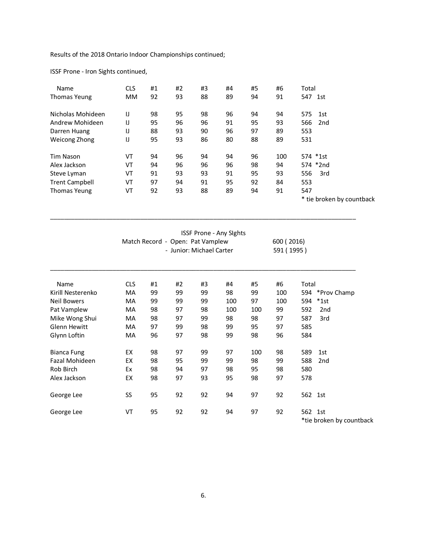ISSF Prone - Iron Sights continued,

| Name                  | <b>CLS</b> | #1 | #2 | #3 | #4 | #5 | #6  | Total                     |  |
|-----------------------|------------|----|----|----|----|----|-----|---------------------------|--|
| Thomas Yeung          | <b>MM</b>  | 92 | 93 | 88 | 89 | 94 | 91  | 547 1st                   |  |
| Nicholas Mohideen     | IJ         | 98 | 95 | 98 | 96 | 94 | 94  | 575<br>1st                |  |
| Andrew Mohideen       | IJ         | 95 | 96 | 96 | 91 | 95 | 93  | 566<br>2nd                |  |
| Darren Huang          | IJ         | 88 | 93 | 90 | 96 | 97 | 89  | 553                       |  |
| Weicong Zhong         | IJ         | 95 | 93 | 86 | 80 | 88 | 89  | 531                       |  |
| <b>Tim Nason</b>      | VT         | 94 | 96 | 94 | 94 | 96 | 100 | 574 *1st                  |  |
| Alex Jackson          | VT         | 94 | 96 | 96 | 96 | 98 | 94  | 574 *2nd                  |  |
| Steve Lyman           | VT         | 91 | 93 | 93 | 91 | 95 | 93  | 3rd<br>556                |  |
| <b>Trent Campbell</b> | VT         | 97 | 94 | 91 | 95 | 92 | 84  | 553                       |  |
| Thomas Yeung          | VT         | 92 | 93 | 88 | 89 | 94 | 91  | 547                       |  |
|                       |            |    |    |    |    |    |     | * tie broken by countback |  |

|                     |                          |    | <b>ISSF Prone - Any Sights</b>   |    | 600 (2016)<br>591 (1995) |     |     |       |                 |  |
|---------------------|--------------------------|----|----------------------------------|----|--------------------------|-----|-----|-------|-----------------|--|
|                     |                          |    | Match Record - Open: Pat Vamplew |    |                          |     |     |       |                 |  |
|                     | - Junior: Michael Carter |    |                                  |    |                          |     |     |       |                 |  |
| Name                | <b>CLS</b>               | #1 | #2                               | #3 | #4                       | #5  | #6  | Total |                 |  |
| Kirill Nesterenko   | MA                       | 99 | 99                               | 99 | 98                       | 99  | 100 | 594   | *Prov Champ     |  |
| <b>Neil Bowers</b>  | MA                       | 99 | 99                               | 99 | 100                      | 97  | 100 | 594   | $*1st$          |  |
| Pat Vamplew         | MA                       | 98 | 97                               | 98 | 100                      | 100 | 99  | 592   | 2 <sub>nd</sub> |  |
| Mike Wong Shui      | МA                       | 98 | 97                               | 99 | 98                       | 98  | 97  | 587   | 3rd             |  |
| <b>Glenn Hewitt</b> | МA                       | 97 | 99                               | 98 | 99                       | 95  | 97  | 585   |                 |  |
| Glynn Loftin        | МA                       | 96 | 97                               | 98 | 99                       | 98  | 96  | 584   |                 |  |
| <b>Bianca Fung</b>  | EX                       | 98 | 97                               | 99 | 97                       | 100 | 98  | 589   | 1st             |  |
| Fazal Mohideen      | EX                       | 98 | 95                               | 99 | 99                       | 98  | 99  | 588   | 2 <sub>nd</sub> |  |
| Rob Birch           | Ex                       | 98 | 94                               | 97 | 98                       | 95  | 98  | 580   |                 |  |
| Alex Jackson        | EX                       | 98 | 97                               | 93 | 95                       | 98  | 97  | 578   |                 |  |
| George Lee          | SS                       | 95 | 92                               | 92 | 94                       | 97  | 92  |       | 562 1st         |  |
| George Lee          | VT                       | 95 | 92                               | 92 | 94                       | 97  | 92  |       | 562 1st         |  |

\*tie broken by countback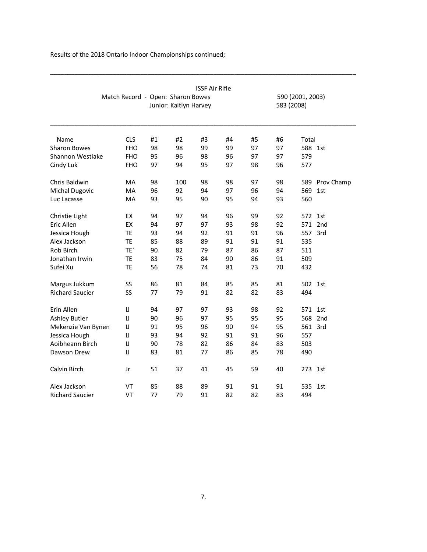|                        |                                   |    |                        | <b>ISSF Air Rifle</b> |    |    |    |                  |            |
|------------------------|-----------------------------------|----|------------------------|-----------------------|----|----|----|------------------|------------|
|                        | Match Record - Open: Sharon Bowes |    |                        |                       |    |    |    | 590 (2001, 2003) |            |
|                        |                                   |    | Junior: Kaitlyn Harvey | 583 (2008)            |    |    |    |                  |            |
|                        |                                   |    |                        |                       |    |    |    |                  |            |
| Name                   | <b>CLS</b>                        | #1 | #2                     | #3                    | #4 | #5 | #6 | Total            |            |
| <b>Sharon Bowes</b>    | <b>FHO</b>                        | 98 | 98                     | 99                    | 99 | 97 | 97 | 588 1st          |            |
| Shannon Westlake       | <b>FHO</b>                        | 95 | 96                     | 98                    | 96 | 97 | 97 | 579              |            |
| Cindy Luk              | <b>FHO</b>                        | 97 | 94                     | 95                    | 97 | 98 | 96 | 577              |            |
| Chris Baldwin          | MA                                | 98 | 100                    | 98                    | 98 | 97 | 98 | 589              | Prov Champ |
| <b>Michal Dugovic</b>  | MA                                | 96 | 92                     | 94                    | 97 | 96 | 94 | 569              | 1st        |
| Luc Lacasse            | MA                                | 93 | 95                     | 90                    | 95 | 94 | 93 | 560              |            |
| Christie Light         | EX                                | 94 | 97                     | 94                    | 96 | 99 | 92 | 572              | 1st        |
| Eric Allen             | EX                                | 94 | 97                     | 97                    | 93 | 98 | 92 | 571              | 2nd        |
| Jessica Hough          | TE                                | 93 | 94                     | 92                    | 91 | 91 | 96 | 557              | 3rd        |
| Alex Jackson           | TE                                | 85 | 88                     | 89                    | 91 | 91 | 91 | 535              |            |
| Rob Birch              | TE <sup>'</sup>                   | 90 | 82                     | 79                    | 87 | 86 | 87 | 511              |            |
| Jonathan Irwin         | TE                                | 83 | 75                     | 84                    | 90 | 86 | 91 | 509              |            |
| Sufei Xu               | TE                                | 56 | 78                     | 74                    | 81 | 73 | 70 | 432              |            |
| Margus Jukkum          | SS                                | 86 | 81                     | 84                    | 85 | 85 | 81 | 502 1st          |            |
| <b>Richard Saucier</b> | SS                                | 77 | 79                     | 91                    | 82 | 82 | 83 | 494              |            |
| Erin Allen             | IJ                                | 94 | 97                     | 97                    | 93 | 98 | 92 | 571              | 1st        |
| Ashley Butler          | IJ                                | 90 | 96                     | 97                    | 95 | 95 | 95 | 568              | 2nd        |
| Mekenzie Van Bynen     | IJ                                | 91 | 95                     | 96                    | 90 | 94 | 95 |                  | 561 3rd    |
| Jessica Hough          | IJ                                | 93 | 94                     | 92                    | 91 | 91 | 96 | 557              |            |
| Aoibheann Birch        | IJ                                | 90 | 78                     | 82                    | 86 | 84 | 83 | 503              |            |
| Dawson Drew            | IJ                                | 83 | 81                     | 77                    | 86 | 85 | 78 | 490              |            |
| Calvin Birch           | Jr                                | 51 | 37                     | 41                    | 45 | 59 | 40 | 273              | 1st        |
| Alex Jackson           | VT                                | 85 | 88                     | 89                    | 91 | 91 | 91 | 535              | 1st        |
| <b>Richard Saucier</b> | VT                                | 77 | 79                     | 91                    | 82 | 82 | 83 | 494              |            |

\_\_\_\_\_\_\_\_\_\_\_\_\_\_\_\_\_\_\_\_\_\_\_\_\_\_\_\_\_\_\_\_\_\_\_\_\_\_\_\_\_\_\_\_\_\_\_\_\_\_\_\_\_\_\_\_\_\_\_\_\_\_\_\_\_\_\_\_\_\_\_\_\_\_\_\_\_\_\_\_\_\_\_\_\_\_\_\_

Results of the 2018 Ontario Indoor Championships continued;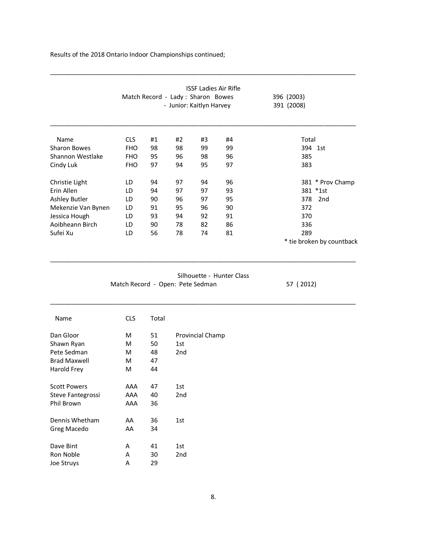|                     |                                  |                                    |                 |                          | <b>ISSF Ladies Air Rifle</b> |                           |
|---------------------|----------------------------------|------------------------------------|-----------------|--------------------------|------------------------------|---------------------------|
|                     |                                  | Match Record - Lady : Sharon Bowes |                 |                          | 396 (2003)                   |                           |
|                     |                                  |                                    |                 | - Junior: Kaitlyn Harvey | 391 (2008)                   |                           |
| Name                | <b>CLS</b>                       | #1                                 | #2              | #3                       | #4                           | Total                     |
| <b>Sharon Bowes</b> | <b>FHO</b>                       | 98                                 | 98              | 99                       | 99                           | 394 1st                   |
| Shannon Westlake    | <b>FHO</b>                       | 95                                 | 96              | 98                       | 96                           | 385                       |
| Cindy Luk           | <b>FHO</b>                       | 97                                 | 94              | 95                       | 97                           | 383                       |
| Christie Light      | LD                               | 94                                 | 97              | 94                       | 96                           | 381 * Prov Champ          |
| Erin Allen          | LD                               | 94                                 | 97              | 97                       | 93                           | 381 *1st                  |
| Ashley Butler       | LD                               | 90                                 | 96              | 97                       | 95                           | 378<br>2 <sub>nd</sub>    |
| Mekenzie Van Bynen  | LD                               | 91                                 | 95              | 96                       | 90                           | 372                       |
| Jessica Hough       | LD                               | 93                                 | 94              | 92                       | 91                           | 370                       |
| Aoibheann Birch     | LD                               | 90                                 | 78              | 82                       | 86                           | 336                       |
| Sufei Xu            | LD                               | 56                                 | 78              | 74                       | 81                           | 289                       |
|                     |                                  |                                    |                 |                          |                              | * tie broken by countback |
|                     | Match Record - Open: Pete Sedman |                                    |                 |                          | Silhouette - Hunter Class    | 57 (2012)                 |
| Name                | <b>CLS</b>                       | Total                              |                 |                          |                              |                           |
| Dan Gloor           | М                                | 51                                 |                 | Provincial Champ         |                              |                           |
| Shawn Ryan          | M                                | 50                                 | 1st             |                          |                              |                           |
| Pete Sedman         | М                                | 48                                 | 2 <sub>nd</sub> |                          |                              |                           |
| <b>Brad Maxwell</b> | М                                | 47                                 |                 |                          |                              |                           |
| Harold Frey         | М                                | 44                                 |                 |                          |                              |                           |
| <b>Scott Powers</b> | AAA                              | 47                                 | 1st             |                          |                              |                           |
| Steve Fantegrossi   | AAA                              | 40                                 | 2nd             |                          |                              |                           |
| Phil Brown          | AAA                              | 36                                 |                 |                          |                              |                           |
| Dennis Whetham      | AA                               | 36                                 | 1st             |                          |                              |                           |
| Greg Macedo         | AA                               | 34                                 |                 |                          |                              |                           |
| Dave Bint           | Α                                | 41                                 | 1st             |                          |                              |                           |
| Ron Noble           | Α                                | 30                                 | 2nd             |                          |                              |                           |
| Joe Struys          | A                                | 29                                 |                 |                          |                              |                           |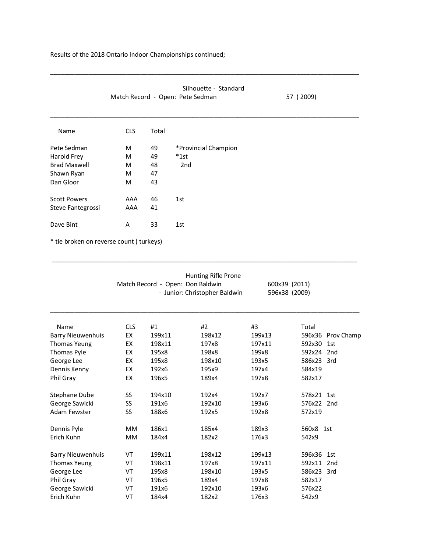|                     | Match Record - Open: Pete Sedman | 57 (2009) |                      |  |
|---------------------|----------------------------------|-----------|----------------------|--|
| Name                | <b>CLS</b>                       | Total     |                      |  |
| Pete Sedman         | M                                | 49        | *Provincial Champion |  |
| Harold Frey         | М                                | 49        | $*1$ st              |  |
| <b>Brad Maxwell</b> | М                                | 48        | 2nd                  |  |
| Shawn Ryan          | М                                | 47        |                      |  |
| Dan Gloor           | M                                | 43        |                      |  |
| <b>Scott Powers</b> | AAA                              | 46        | 1st                  |  |
| Steve Fantegrossi   | AAA                              | 41        |                      |  |
| Dave Bint           | A                                | 33        | 1st                  |  |

\_\_\_\_\_\_\_\_\_\_\_\_\_\_\_\_\_\_\_\_\_\_\_\_\_\_\_\_\_\_\_\_\_\_\_\_\_\_\_\_\_\_\_\_\_\_\_\_\_\_\_\_\_\_\_\_\_\_\_\_\_\_\_\_\_\_\_\_\_\_\_\_\_\_\_\_\_\_\_\_\_\_\_\_\_\_\_\_

\_\_\_\_\_\_\_\_\_\_\_\_\_\_\_\_\_\_\_\_\_\_\_\_\_\_\_\_\_\_\_\_\_\_\_\_\_\_\_\_\_\_\_\_\_\_\_\_\_\_\_\_\_\_\_\_\_\_\_\_\_\_\_\_\_\_\_\_\_\_\_\_\_\_\_\_\_\_\_\_\_\_\_\_\_\_\_\_\_

\* tie broken on reverse count ( turkeys)

|                          |            | Match Record - Open: Don Baldwin | Hunting Rifle Prone<br>- Junior: Christopher Baldwin |        | 600x39 (2011)<br>596x38 (2009) |
|--------------------------|------------|----------------------------------|------------------------------------------------------|--------|--------------------------------|
| Name                     | <b>CLS</b> | #1                               | #2                                                   | #3     | Total                          |
| <b>Barry Nieuwenhuis</b> | EX         | 199x11                           | 198x12                                               | 199x13 | Prov Champ<br>596x36           |
| <b>Thomas Yeung</b>      | EX         | 198x11                           | 197x8                                                | 197x11 | 592x30<br>1st                  |
| Thomas Pyle              | EX         | 195x8                            | 198x8                                                | 199x8  | 592x24<br>2nd                  |
| George Lee               | EX         | 195x8                            | 198x10                                               | 193x5  | 586x23<br>3rd                  |
| Dennis Kenny             | EX         | 192x6                            | 195x9                                                | 197x4  | 584x19                         |
| Phil Gray                | EX         | 196x5                            | 189x4                                                | 197x8  | 582x17                         |
| <b>Stephane Dube</b>     | SS         | 194x10                           | 192x4                                                | 192x7  | 578x21<br>1st                  |
| George Sawicki           | SS         | 191x6                            | 192x10                                               | 193x6  | 576x22<br>2nd                  |
| Adam Fewster             | SS         | 188x6                            | 192x5                                                | 192x8  | 572x19                         |
| Dennis Pyle              | <b>MM</b>  | 186x1                            | 185x4                                                | 189x3  | 560x8 1st                      |
| Erich Kuhn               | <b>MM</b>  | 184x4                            | 182x2                                                | 176x3  | 542x9                          |
| <b>Barry Nieuwenhuis</b> | VT         | 199x11                           | 198x12                                               | 199x13 | 596x36<br>1st                  |
| <b>Thomas Yeung</b>      | VT         | 198x11                           | 197x8                                                | 197x11 | 592x11<br>2 <sub>nd</sub>      |
| George Lee               | VT         | 195x8                            | 198x10                                               | 193x5  | 586x23 3rd                     |
| Phil Gray                | VT         | 196x5                            | 189x4                                                | 197x8  | 582x17                         |
| George Sawicki           | VT         | 191x6                            | 192x10                                               | 193x6  | 576x22                         |
| Erich Kuhn               | VT         | 184x4                            | 182x2                                                | 176x3  | 542x9                          |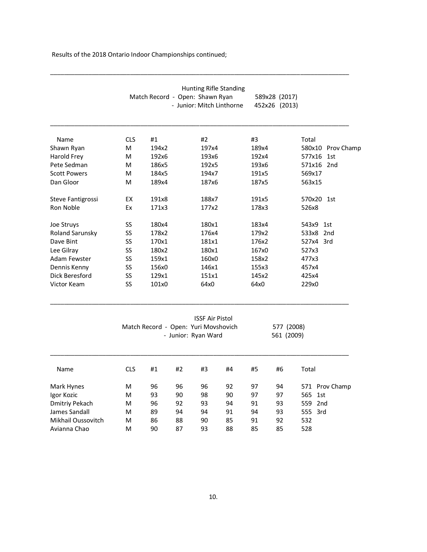|                        | Hunting Rifle Standing<br>Match Record - Open: Shawn Ryan<br>- Junior: Mitch Linthorne                            |       |    |       |    |       | 589x28 (2017)<br>452x26 (2013) |         |                   |  |
|------------------------|-------------------------------------------------------------------------------------------------------------------|-------|----|-------|----|-------|--------------------------------|---------|-------------------|--|
| Name                   | <b>CLS</b>                                                                                                        | #1    |    | #2    |    | #3    |                                | Total   |                   |  |
| Shawn Ryan             | м                                                                                                                 | 194x2 |    | 197x4 |    | 189x4 |                                |         | 580x10 Prov Champ |  |
| <b>Harold Frey</b>     | м                                                                                                                 | 192x6 |    | 193x6 |    | 192x4 |                                | 577x16  | 1st               |  |
| Pete Sedman            | M                                                                                                                 | 186x5 |    | 192x5 |    | 193x6 |                                |         | 571x16 2nd        |  |
| <b>Scott Powers</b>    | м                                                                                                                 | 184x5 |    | 194x7 |    | 191x5 |                                | 569x17  |                   |  |
| Dan Gloor              | м                                                                                                                 | 189x4 |    | 187x6 |    | 187x5 |                                | 563x15  |                   |  |
| Steve Fantigrossi      | EX                                                                                                                | 191x8 |    | 188x7 |    | 191x5 |                                |         | 570x20 1st        |  |
| Ron Noble              | Ex                                                                                                                | 171x3 |    | 177x2 |    | 178x3 |                                | 526x8   |                   |  |
| Joe Struys             | SS                                                                                                                | 180x4 |    | 180x1 |    | 183x4 |                                | 543x9   | 1st               |  |
| <b>Roland Sarunsky</b> | SS                                                                                                                | 178x2 |    | 176x4 |    | 179x2 |                                |         | 533x8 2nd         |  |
| Dave Bint              | SS                                                                                                                | 170x1 |    | 181x1 |    | 176x2 |                                |         | 527x4 3rd         |  |
| Lee Gilray             | SS                                                                                                                | 180x2 |    | 180x1 |    | 167x0 |                                | 527x3   |                   |  |
| Adam Fewster           | SS                                                                                                                | 159x1 |    | 160x0 |    | 158x2 |                                | 477x3   |                   |  |
| Dennis Kenny           | SS                                                                                                                | 156x0 |    | 146x1 |    | 155x3 |                                | 457x4   |                   |  |
| Dick Beresford         | SS                                                                                                                | 129x1 |    | 151x1 |    | 145x2 |                                | 425x4   |                   |  |
| Victor Keam            | SS                                                                                                                | 101x0 |    | 64x0  |    | 64x0  |                                | 229x0   |                   |  |
|                        | <b>ISSF Air Pistol</b><br>Match Record - Open: Yuri Movshovich<br>577 (2008)<br>- Junior: Ryan Ward<br>561 (2009) |       |    |       |    |       |                                |         |                   |  |
| Name                   | <b>CLS</b>                                                                                                        | #1    | #2 | #3    | #4 | #5    | #6                             | Total   |                   |  |
| Mark Hynes             | M                                                                                                                 | 96    | 96 | 96    | 92 | 97    | 94                             |         | 571 Prov Champ    |  |
| Igor Kozic             | м                                                                                                                 | 93    | 90 | 98    | 90 | 97    | 97                             | 565     | 1st               |  |
| <b>Dmitriy Pekach</b>  | м                                                                                                                 | 96    | 92 | 93    | 94 | 91    | 93                             | 559 2nd |                   |  |
| James Sandall          | м                                                                                                                 | 89    | 94 | 94    | 91 | 94    | 93                             | 555 3rd |                   |  |
| Mikhail Oussovitch     | м                                                                                                                 | 86    | 88 | 90    | 85 | 91    | 92                             | 532     |                   |  |
| Avianna Chao           | M                                                                                                                 | 90    | 87 | 93    | 88 | 85    | 85                             | 528     |                   |  |

\_\_\_\_\_\_\_\_\_\_\_\_\_\_\_\_\_\_\_\_\_\_\_\_\_\_\_\_\_\_\_\_\_\_\_\_\_\_\_\_\_\_\_\_\_\_\_\_\_\_\_\_\_\_\_\_\_\_\_\_\_\_\_\_\_\_\_\_\_\_\_\_\_\_\_\_\_\_\_\_\_\_\_\_\_\_